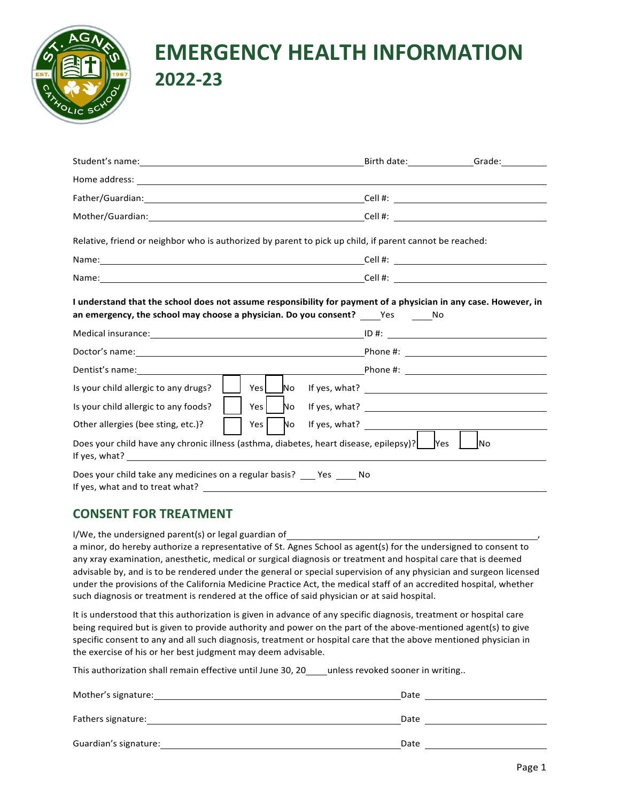

## **EMERGENCY HEALTH INFORMATION 2022-23**

|                                                                                                                                                                                                                               | Birth date: Grade: Communication                                 |  |  |  |  |  |  |
|-------------------------------------------------------------------------------------------------------------------------------------------------------------------------------------------------------------------------------|------------------------------------------------------------------|--|--|--|--|--|--|
|                                                                                                                                                                                                                               |                                                                  |  |  |  |  |  |  |
|                                                                                                                                                                                                                               |                                                                  |  |  |  |  |  |  |
|                                                                                                                                                                                                                               |                                                                  |  |  |  |  |  |  |
| Relative, friend or neighbor who is authorized by parent to pick up child, if parent cannot be reached:                                                                                                                       |                                                                  |  |  |  |  |  |  |
|                                                                                                                                                                                                                               |                                                                  |  |  |  |  |  |  |
|                                                                                                                                                                                                                               |                                                                  |  |  |  |  |  |  |
| I understand that the school does not assume responsibility for payment of a physician in any case. However, in<br>an emergency, the school may choose a physician. Do you consent? $\rule{1em}{0.15mm}$ $\qquad$ $\qquad$ No |                                                                  |  |  |  |  |  |  |
|                                                                                                                                                                                                                               |                                                                  |  |  |  |  |  |  |
|                                                                                                                                                                                                                               |                                                                  |  |  |  |  |  |  |
|                                                                                                                                                                                                                               |                                                                  |  |  |  |  |  |  |
| Is your child allergic to any drugs?                                                                                                                                                                                          | Yes \[Move_No ff yes, what? \]                                   |  |  |  |  |  |  |
| Is your child allergic to any foods?                                                                                                                                                                                          |                                                                  |  |  |  |  |  |  |
| Yes<br>Other allergies (bee sting, etc.)?                                                                                                                                                                                     | $\begin{array}{cc} \text{No} & \text{If yes, what?} \end{array}$ |  |  |  |  |  |  |
| Does your child have any chronic illness (asthma, diabetes, heart disease, epilepsy)? [Yes<br>IN <sub>O</sub>                                                                                                                 |                                                                  |  |  |  |  |  |  |
| Does your child take any medicines on a regular basis? ____ Yes _____ No                                                                                                                                                      |                                                                  |  |  |  |  |  |  |

## **CONSENT FOR TREATMENT**

I/We, the undersigned parent(s) or legal guardian of

a minor, do hereby authorize a representative of St. Agnes School as agent(s) for the undersigned to consent to any xray examination, anesthetic, medical or surgical diagnosis or treatment and hospital care that is deemed advisable by, and is to be rendered under the general or special supervision of any physician and surgeon licensed under the provisions of the California Medicine Practice Act, the medical staff of an accredited hospital, whether such diagnosis or treatment is rendered at the office of said physician or at said hospital.

It is understood that this authorization is given in advance of any specific diagnosis, treatment or hospital care being required but is given to provide authority and power on the part of the above-mentioned agent(s) to give specific consent to any and all such diagnosis, treatment or hospital care that the above mentioned physician in the exercise of his or her best judgment may deem advisable.

This authorization shall remain effective until June 30, 20 unless revoked sooner in writing..

| Mother's signature:   | Date |
|-----------------------|------|
| Fathers signature:    | Date |
| Guardian's signature: | Date |